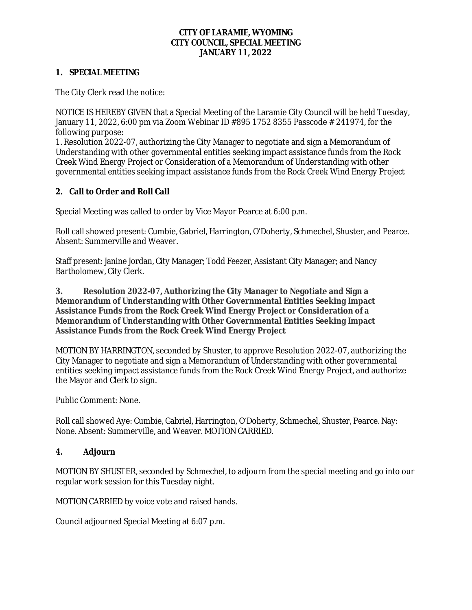### **CITY OF LARAMIE, WYOMING CITY COUNCIL, SPECIAL MEETING JANUARY 11, 2022**

## **1. SPECIAL MEETING**

The City Clerk read the notice:

NOTICE IS HEREBY GIVEN that a Special Meeting of the Laramie City Council will be held Tuesday, January 11, 2022, 6:00 pm via Zoom Webinar ID #895 1752 8355 Passcode # 241974, for the following purpose:

1. Resolution 2022-07, authorizing the City Manager to negotiate and sign a Memorandum of Understanding with other governmental entities seeking impact assistance funds from the Rock Creek Wind Energy Project or Consideration of a Memorandum of Understanding with other governmental entities seeking impact assistance funds from the Rock Creek Wind Energy Project

## **2. Call to Order and Roll Call**

Special Meeting was called to order by Vice Mayor Pearce at 6:00 p.m.

Roll call showed present: Cumbie, Gabriel, Harrington, O'Doherty, Schmechel, Shuster, and Pearce. Absent: Summerville and Weaver.

Staff present: Janine Jordan, City Manager; Todd Feezer, Assistant City Manager; and Nancy Bartholomew, City Clerk.

### **3. Resolution 2022-07, Authorizing the City Manager to Negotiate and Sign a Memorandum of Understanding with Other Governmental Entities Seeking Impact Assistance Funds from the Rock Creek Wind Energy Project or Consideration of a Memorandum of Understanding with Other Governmental Entities Seeking Impact Assistance Funds from the Rock Creek Wind Energy Project**

MOTION BY HARRINGTON, seconded by Shuster, to approve Resolution 2022-07, authorizing the City Manager to negotiate and sign a Memorandum of Understanding with other governmental entities seeking impact assistance funds from the Rock Creek Wind Energy Project, and authorize the Mayor and Clerk to sign.

Public Comment: None.

Roll call showed Aye: Cumbie, Gabriel, Harrington, O'Doherty, Schmechel, Shuster, Pearce. Nay: None. Absent: Summerville, and Weaver. MOTION CARRIED.

## **4. Adjourn**

MOTION BY SHUSTER, seconded by Schmechel, to adjourn from the special meeting and go into our regular work session for this Tuesday night.

MOTION CARRIED by voice vote and raised hands.

Council adjourned Special Meeting at 6:07 p.m.